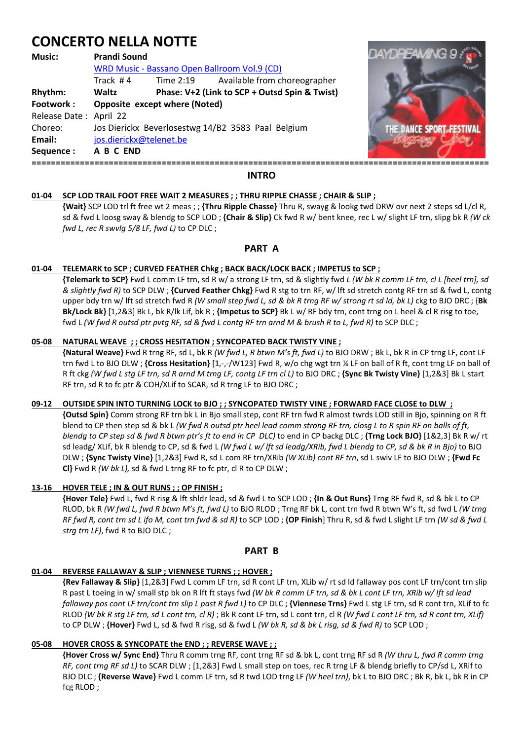# **CONCERTO NELLA NOTTE**

## **Music: Prandi Sound**  WRD Music - Bassano Open Ballroom Vol.9 (CD) Track # 4 Time 2:19 Available from choreographer **Rhythm: Waltz Phase: V+2 (Link to SCP + Outsd Spin & Twist) Footwork : Opposite except where (Noted)**  Release Date : April 22 Choreo: Jos Dierickx Beverlosestwg 14/B2 3583 Paal Belgium **Email:** jos.dierickx@telenet.be **Sequence : A B C END ===============================================================================================**



# **INTRO**

## **01-04 SCP LOD TRAIL FOOT FREE WAIT 2 MEASURES ; ; THRU RIPPLE CHASSE ; CHAIR & SLIP ;**

 **{Wait}** SCP LOD trl ft free wt 2 meas ; ; **{Thru Ripple Chasse}** Thru R, swayg & lookg twd DRW ovr next 2 steps sd L/cl R, sd & fwd L loosg sway & blendg to SCP LOD ; **{Chair & Slip}** Ck fwd R w/ bent knee, rec L w/ slight LF trn, slipg bk R *(W ck fwd L, rec R swvlg 5/8 LF, fwd L)* to CP DLC ;

# **PART A**

## **01-04 TELEMARK to SCP ; CURVED FEATHER Chkg ; BACK BACK/LOCK BACK ; IMPETUS to SCP ;**

 **{Telemark to SCP}** Fwd L comm LF trn, sd R w/ a strong LF trn, sd & slightly fwd *L (W bk R comm LF trn, cl L [heel trn], sd & slightly fwd R)* to SCP DLW ; **{Curved Feather Chkg}** Fwd R stg to trn RF, w/ lft sd stretch contg RF trn sd & fwd L, contg upper bdy trn w/ lft sd stretch fwd R *(W small step fwd L, sd & bk R trng RF w/ strong rt sd ld, bk L)* ckg to BJO DRC ; {**Bk Bk/Lock Bk}** [1,2&3] Bk L, bk R/lk Lif, bk R ; **{Impetus to SCP}** Bk L w/ RF bdy trn, cont trng on L heel & cl R risg to toe, fwd L *(W fwd R outsd ptr pvtg RF, sd & fwd L contg RF trn arnd M & brush R to L, fwd R)* to SCP DLC ;

## **05-08 NATURAL WEAVE ; ; CROSS HESITATION ; SYNCOPATED BACK TWISTY VINE ;**

 **{Natural Weave}** Fwd R trng RF, sd L, bk R *(W fwd L, R btwn M's ft, fwd L)* to BJO DRW ; Bk L, bk R in CP trng LF, cont LF trn fwd L to BJO DLW; {Cross Hesitation} [1,-,-/W123] Fwd R, w/o chg wgt trn ¼ LF on ball of R ft, cont trng LF on ball of R ft ckg *(W fwd L stg LF trn, sd R arnd M trng LF, contg LF trn cl L)* to BJO DRC ; **{Sync Bk Twisty Vine}** [1,2&3] Bk L start RF trn, sd R to fc ptr & COH/XLif to SCAR, sd R trng LF to BJO DRC ;

## **09-12 OUTSIDE SPIN INTO TURNING LOCK to BJO ; ; SYNCOPATED TWISTY VINE ; FORWARD FACE CLOSE to DLW ;**

 **{Outsd Spin}** Comm strong RF trn bk L in Bjo small step, cont RF trn fwd R almost twrds LOD still in Bjo, spinning on R ft blend to CP then step sd & bk L *(W fwd R outsd ptr heel lead comm strong RF trn, closg L to R spin RF on balls of ft, blendg to CP step sd & fwd R btwn ptr's ft to end in CP DLC)* to end in CP backg DLC ; **{Trng Lock BJO}** [1&2,3] Bk R w/ rt sd leadg/ XLif, bk R blendg to CP, sd & fwd L *(W fwd L w/ lft sd leadg/XRib, fwd L blendg to CP, sd & bk R in Bjo)* to BJO DLW ; **{Sync Twisty Vine}** [1,2&3] Fwd R, sd L com RF trn/XRib *(W XLib) cont RF trn*, sd L swiv LF to BJO DLW ; **{Fwd Fc Cl}** Fwd R *(W bk L),* sd & fwd L trng RF to fc ptr, cl R to CP DLW ;

## **13-16 HOVER TELE ; IN & OUT RUNS ; ; OP FINISH ;**

 **{Hover Tele}** Fwd L, fwd R risg & lft shldr lead, sd & fwd L to SCP LOD ; **{In & Out Runs}** Trng RF fwd R, sd & bk L to CP RLOD, bk R *(W fwd L, fwd R btwn M's ft, fwd L)* to BJO RLOD ; Trng RF bk L, cont trn fwd R btwn W's ft, sd fwd L *(W trng RF fwd R, cont trn sd L ifo M, cont trn fwd & sd R)* to SCP LOD ; **{OP Finish**] Thru R, sd & fwd L slight LF trn *(W sd & fwd L strg trn LF)*, fwd R to BJO DLC ;

## **PART B**

# **01-04 REVERSE FALLAWAY & SLIP ; VIENNESE TURNS ; ; HOVER ;**

 **{Rev Fallaway & Slip}** [1,2&3] Fwd L comm LF trn, sd R cont LF trn, XLib w/ rt sd ld fallaway pos cont LF trn/cont trn slip R past L toeing in w/ small stp bk on R lft ft stays fwd *(W bk R comm LF trn, sd & bk L cont LF trn, XRib w/ lft sd lead fallaway pos cont LF trn/cont trn slip L past R fwd L)* to CP DLC ; **{Viennese Trns}** Fwd L stg LF trn, sd R cont trn, XLif to fc RLOD *(W bk R stg LF trn, sd L cont trn, cl R)* ; Bk R cont LF trn, sd L cont trn, cl R *(W fwd L cont LF trn, sd R cont trn, XLif)*  to CP DLW ; **{Hover}** Fwd L, sd & fwd R risg, sd & fwd L *(W bk R, sd & bk L risg, sd & fwd R)* to SCP LOD ;

## **05-08 HOVER CROSS & SYNCOPATE the END ; ; REVERSE WAVE ; ;**

 **{Hover Cross w/ Sync End}** Thru R comm trng RF, cont trng RF sd & bk L, cont trng RF sd R *(W thru L, fwd R comm trng RF, cont trng RF sd L)* to SCAR DLW ; [1,2&3] Fwd L small step on toes, rec R trng LF & blendg briefly to CP/sd L, XRif to BJO DLC ; **{Reverse Wave}** Fwd L comm LF trn, sd R twd LOD trng LF *(W heel trn)*, bk L to BJO DRC ; Bk R, bk L, bk R in CP fcg RLOD ;